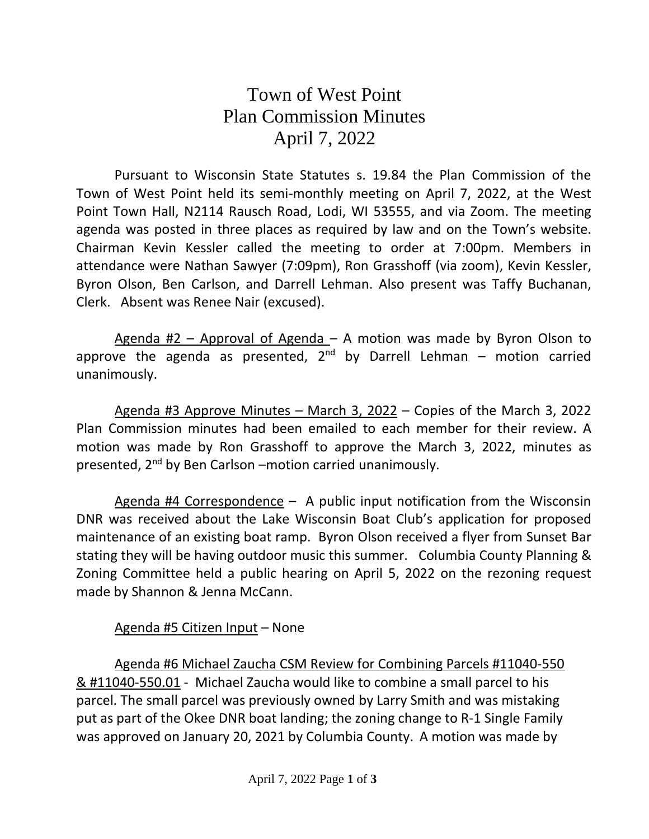## Town of West Point Plan Commission Minutes April 7, 2022

Pursuant to Wisconsin State Statutes s. 19.84 the Plan Commission of the Town of West Point held its semi-monthly meeting on April 7, 2022, at the West Point Town Hall, N2114 Rausch Road, Lodi, WI 53555, and via Zoom. The meeting agenda was posted in three places as required by law and on the Town's website. Chairman Kevin Kessler called the meeting to order at 7:00pm. Members in attendance were Nathan Sawyer (7:09pm), Ron Grasshoff (via zoom), Kevin Kessler, Byron Olson, Ben Carlson, and Darrell Lehman. Also present was Taffy Buchanan, Clerk. Absent was Renee Nair (excused).

Agenda  $#2$  – Approval of Agenda – A motion was made by Byron Olson to approve the agenda as presented, 2<sup>nd</sup> by Darrell Lehman – motion carried unanimously.

Agenda #3 Approve Minutes – March 3, 2022 – Copies of the March 3, 2022 Plan Commission minutes had been emailed to each member for their review. A motion was made by Ron Grasshoff to approve the March 3, 2022, minutes as presented, 2<sup>nd</sup> by Ben Carlson -motion carried unanimously.

Agenda #4 Correspondence – A public input notification from the Wisconsin DNR was received about the Lake Wisconsin Boat Club's application for proposed maintenance of an existing boat ramp. Byron Olson received a flyer from Sunset Bar stating they will be having outdoor music this summer. Columbia County Planning & Zoning Committee held a public hearing on April 5, 2022 on the rezoning request made by Shannon & Jenna McCann.

## Agenda #5 Citizen Input – None

Agenda #6 Michael Zaucha CSM Review for Combining Parcels #11040-550 & #11040-550.01 - Michael Zaucha would like to combine a small parcel to his parcel. The small parcel was previously owned by Larry Smith and was mistaking put as part of the Okee DNR boat landing; the zoning change to R-1 Single Family was approved on January 20, 2021 by Columbia County. A motion was made by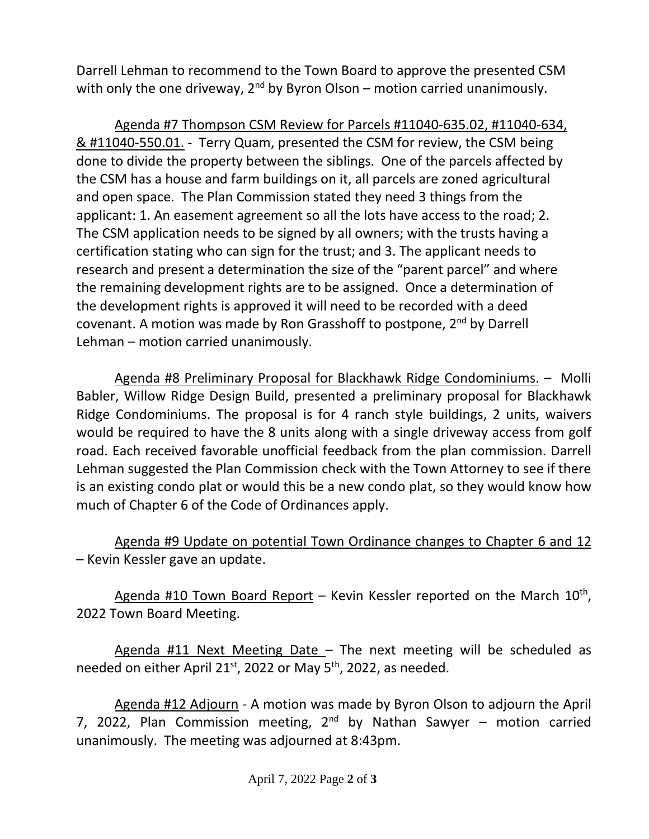Darrell Lehman to recommend to the Town Board to approve the presented CSM with only the one driveway,  $2^{nd}$  by Byron Olson – motion carried unanimously.

Agenda #7 Thompson CSM Review for Parcels #11040-635.02, #11040-634, & #11040-550.01. - Terry Quam, presented the CSM for review, the CSM being done to divide the property between the siblings. One of the parcels affected by the CSM has a house and farm buildings on it, all parcels are zoned agricultural and open space. The Plan Commission stated they need 3 things from the applicant: 1. An easement agreement so all the lots have access to the road; 2. The CSM application needs to be signed by all owners; with the trusts having a certification stating who can sign for the trust; and 3. The applicant needs to research and present a determination the size of the "parent parcel" and where the remaining development rights are to be assigned. Once a determination of the development rights is approved it will need to be recorded with a deed covenant. A motion was made by Ron Grasshoff to postpone, 2nd by Darrell Lehman – motion carried unanimously.

Agenda #8 Preliminary Proposal for Blackhawk Ridge Condominiums. – Molli Babler, Willow Ridge Design Build, presented a preliminary proposal for Blackhawk Ridge Condominiums. The proposal is for 4 ranch style buildings, 2 units, waivers would be required to have the 8 units along with a single driveway access from golf road. Each received favorable unofficial feedback from the plan commission. Darrell Lehman suggested the Plan Commission check with the Town Attorney to see if there is an existing condo plat or would this be a new condo plat, so they would know how much of Chapter 6 of the Code of Ordinances apply.

Agenda #9 Update on potential Town Ordinance changes to Chapter 6 and 12 – Kevin Kessler gave an update.

Agenda #10 Town Board Report – Kevin Kessler reported on the March 10<sup>th</sup>, 2022 Town Board Meeting.

Agenda #11 Next Meeting Date – The next meeting will be scheduled as needed on either April 21<sup>st</sup>, 2022 or May 5<sup>th</sup>, 2022, as needed.

Agenda #12 Adjourn - A motion was made by Byron Olson to adjourn the April 7, 2022, Plan Commission meeting, 2<sup>nd</sup> by Nathan Sawyer – motion carried unanimously. The meeting was adjourned at 8:43pm.